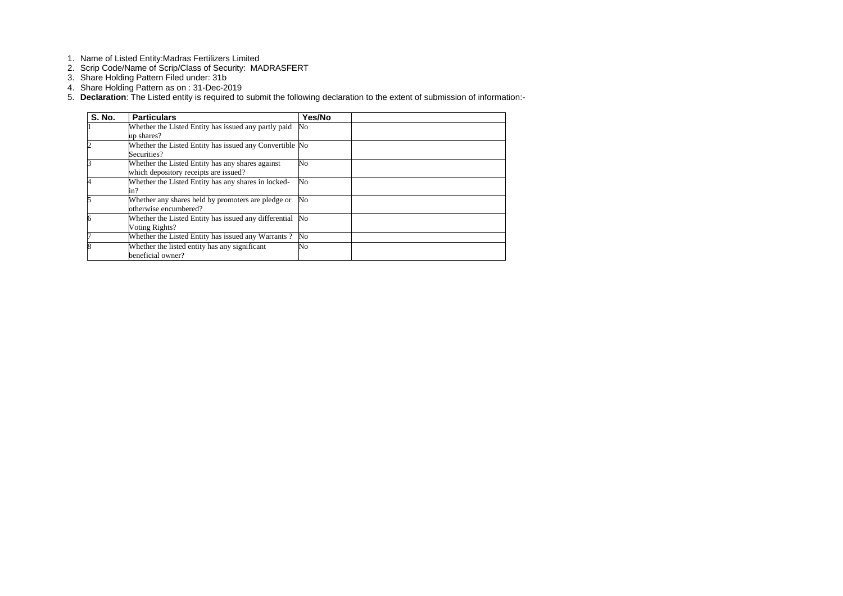- 1. Name of Listed Entity:Madras Fertilizers Limited
- 2. Scrip Code/Name of Scrip/Class of Security: MADRASFERT
- 3. Share Holding Pattern Filed under: 31b
- 4. Share Holding Pattern as on : 31-Dec-2019
- 5. **Declaration**: The Listed entity is required to submit the following declaration to the extent of submission of information:-

| <b>S. No.</b> | <b>Particulars</b>                                      | Yes/No                 |  |
|---------------|---------------------------------------------------------|------------------------|--|
|               | Whether the Listed Entity has issued any partly paid    | No                     |  |
|               | up shares?                                              |                        |  |
|               | Whether the Listed Entity has issued any Convertible No |                        |  |
|               | Securities?                                             |                        |  |
|               | Whether the Listed Entity has any shares against        | No                     |  |
|               | which depository receipts are issued?                   |                        |  |
|               | Whether the Listed Entity has any shares in locked-     | $\overline{\text{No}}$ |  |
|               | in?                                                     |                        |  |
| 5             | Whether any shares held by promoters are pledge or      | No                     |  |
|               | otherwise encumbered?                                   |                        |  |
|               | Whether the Listed Entity has issued any differential   | No                     |  |
|               | Voting Rights?                                          |                        |  |
|               | Whether the Listed Entity has issued any Warrants?      | No                     |  |
|               | Whether the listed entity has any significant           | No                     |  |
|               | beneficial owner?                                       |                        |  |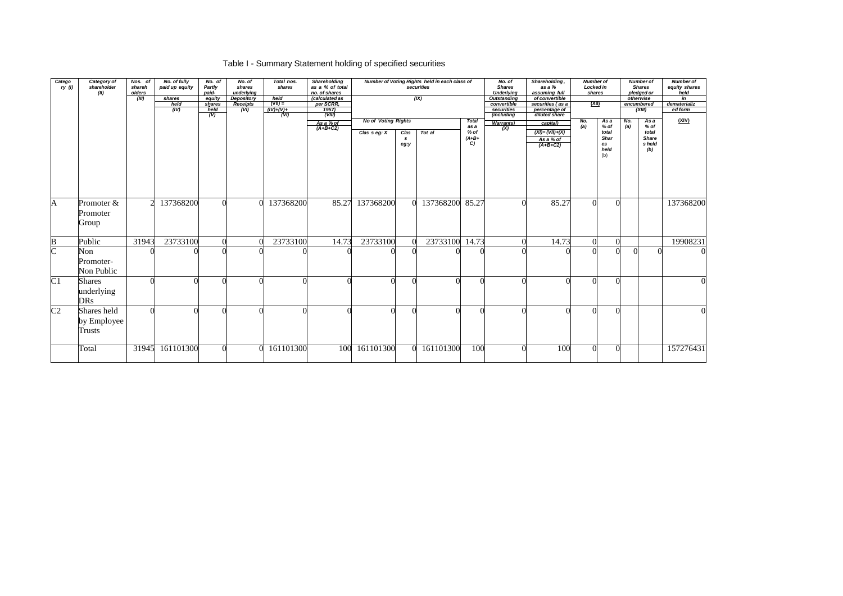# Table I - Summary Statement holding of specified securities

| Catego<br>ry(1)       | Category of<br>shareholder<br>(II)          | Nos. of<br>shareh<br>olders<br>(III) | No. of fully<br>paid up equity<br>shares<br>held<br>(IV) | No. of<br>Partly<br>paid-<br>equity<br>shares<br>held<br>$\overline{(V)}$ | No. of<br>shares<br>underlying<br>Depository<br><b>Receipts</b><br>(VI) | Total nos.<br>shares<br>held<br>$(VII) =$<br>$(IV)+(V)+$<br>(VI) | <b>Shareholding</b><br>as a % of total<br>no. of shares<br>(calculated as<br>per SCRR,<br>1957)<br>(VIII) |                            |                              | Number of Voting Rights held in each class of<br>securities<br>(X) |                      | No. of<br><b>Shares</b><br><b>Underlying</b><br><b>Outstanding</b><br>convertible<br>securities<br>(including | Shareholding,<br>as a %<br>assuming full<br>of convertible<br>securities (as a<br>percentage of<br>diluted share | <b>Number of</b><br>Locked in<br>shares<br><u>(XII)</u> |                                    |            | <b>Number of</b><br><b>Shares</b><br>pledged or<br>otherwise<br>encumbered<br>(XIII) | <b>Number of</b><br>equity shares<br>held<br>in<br>dematerializ<br>ed form |
|-----------------------|---------------------------------------------|--------------------------------------|----------------------------------------------------------|---------------------------------------------------------------------------|-------------------------------------------------------------------------|------------------------------------------------------------------|-----------------------------------------------------------------------------------------------------------|----------------------------|------------------------------|--------------------------------------------------------------------|----------------------|---------------------------------------------------------------------------------------------------------------|------------------------------------------------------------------------------------------------------------------|---------------------------------------------------------|------------------------------------|------------|--------------------------------------------------------------------------------------|----------------------------------------------------------------------------|
|                       |                                             |                                      |                                                          |                                                                           |                                                                         |                                                                  | As a % of                                                                                                 | <b>No of Voting Rights</b> |                              |                                                                    | <b>Total</b><br>as a | <b>Warrants</b> )                                                                                             | capital)                                                                                                         | No.<br>(a)                                              | As a<br>% of                       | No.<br>(a) | As a<br>% of                                                                         | (XIV)                                                                      |
|                       |                                             |                                      |                                                          |                                                                           |                                                                         |                                                                  | $(A+B+C2)$                                                                                                | Clas $s$ eg: $X$           | Clas<br>$\mathbf{s}$<br>eg:y | Tot al                                                             | % of<br>$(A+B+$<br>C | (X)                                                                                                           | $(XI) = (VII)+(X)$<br>As a % of<br>$(A+B+C2)$                                                                    |                                                         | total<br>Shar<br>es<br>held<br>(b) |            | total<br><b>Share</b><br>s held<br>(b)                                               |                                                                            |
| $\mathbf{A}$          | Promoter &                                  | $\overline{2}$                       | 137368200                                                |                                                                           |                                                                         | 137368200                                                        | 85.27                                                                                                     | 137368200                  |                              | 137368200                                                          | 85.27                |                                                                                                               | 85.27                                                                                                            |                                                         | $\Omega$                           |            |                                                                                      | 137368200                                                                  |
|                       | Promoter<br>Group                           |                                      |                                                          |                                                                           |                                                                         |                                                                  |                                                                                                           |                            |                              |                                                                    |                      |                                                                                                               |                                                                                                                  |                                                         |                                    |            |                                                                                      |                                                                            |
| $\bf{B}$              | Public                                      | 31943                                | 23733100                                                 |                                                                           |                                                                         | 23733100                                                         | 14.73                                                                                                     | 23733100                   |                              | 23733100                                                           | 14.73                |                                                                                                               | 14.73                                                                                                            | $\overline{0}$                                          |                                    |            |                                                                                      | 19908231                                                                   |
| $\overline{\text{C}}$ | Non<br>Promoter-<br>Non Public              |                                      |                                                          |                                                                           |                                                                         |                                                                  |                                                                                                           |                            |                              |                                                                    |                      |                                                                                                               |                                                                                                                  |                                                         |                                    |            |                                                                                      |                                                                            |
| $\overline{C1}$       | <b>Shares</b><br>underlying<br><b>DRs</b>   |                                      |                                                          |                                                                           |                                                                         |                                                                  |                                                                                                           |                            |                              |                                                                    |                      |                                                                                                               |                                                                                                                  |                                                         |                                    |            |                                                                                      |                                                                            |
| $\overline{C2}$       | Shares held<br>by Employee<br><b>Trusts</b> |                                      |                                                          |                                                                           |                                                                         |                                                                  |                                                                                                           |                            |                              |                                                                    |                      |                                                                                                               |                                                                                                                  |                                                         | $\Omega$                           |            |                                                                                      |                                                                            |
|                       | Total                                       | 31945                                | 161101300                                                |                                                                           |                                                                         | 161101300                                                        | 100                                                                                                       | 161101300                  |                              | 161101300                                                          | 100                  |                                                                                                               | 100                                                                                                              |                                                         | $\Omega$                           |            |                                                                                      | 157276431                                                                  |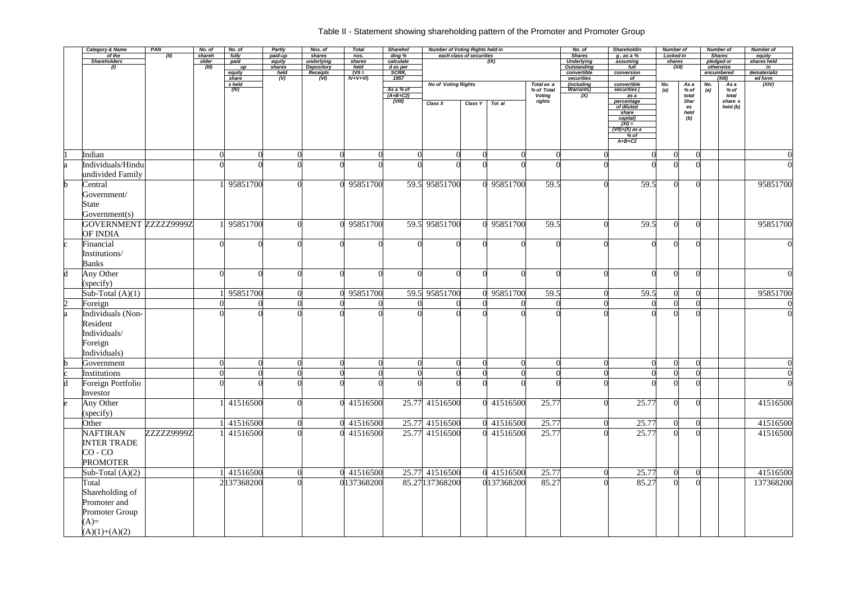## Table II - Statement showing shareholding pattern of the Promoter and Promoter Group

|             | <b>Category &amp; Name</b><br>of the | <b>PAN</b> | No. of          | No. of<br>fully | Partly            | Nos. of<br>shares             | <b>Total</b>     | Sharehol            | <b>Number of Voting Rights held in</b> | each class of securities |            |                          | No. of<br><b>Shares</b>           | Shareholdin                | <b>Number of</b><br><b>Locked in</b> |                |            | <b>Number of</b><br><b>Shares</b> | Number of             |
|-------------|--------------------------------------|------------|-----------------|-----------------|-------------------|-------------------------------|------------------|---------------------|----------------------------------------|--------------------------|------------|--------------------------|-----------------------------------|----------------------------|--------------------------------------|----------------|------------|-----------------------------------|-----------------------|
|             | <b>Shareholders</b>                  | (II)       | shareh<br>older | paid            | paid-up<br>equity | underlying                    | nos.<br>shares   | ding %<br>calculate |                                        |                          | (X)        |                          | <b>Underlying</b>                 | $g$ , as a $%$<br>assuming | shares                               |                |            | pledged or                        | equity<br>shares held |
|             | $\left( I\right)$                    |            | (III)           | up<br>equity    | shares<br>held    | <b>Depository</b><br>Receipts | held<br>$(VII =$ | d as per<br>SCRR,   |                                        |                          |            |                          | <b>Outstanding</b><br>convertible | full<br>conversion         |                                      | (XII)          |            | otherwise<br>encumbered           | in<br>dematerializ    |
|             |                                      |            |                 | share           | (V)               | (VI)                          | IV+V+VI)         | 1957                |                                        |                          |            |                          | securities                        | of                         |                                      |                |            | (XIII)                            | ed form               |
|             |                                      |            |                 | s held<br>(IV)  |                   |                               |                  | As a % of           | <b>No of Voting Rights</b>             |                          |            | Total as a<br>% of Total | (including<br><b>Warrants)</b>    | convertible<br>securities  | No.<br>(a)                           | As a<br>% of   | No.<br>(a) | As a<br>% of                      | (XIV)                 |
|             |                                      |            |                 |                 |                   |                               |                  | $(A+B+C2)$          |                                        |                          |            | <b>Voting</b>            | (X)                               | as a                       |                                      | total          |            | total                             |                       |
|             |                                      |            |                 |                 |                   |                               |                  | (VIII)              | Class X                                | Class Y                  | Tot al     | rights                   |                                   | percentage<br>of diluted   |                                      | <b>Shar</b>    |            | share s                           |                       |
|             |                                      |            |                 |                 |                   |                               |                  |                     |                                        |                          |            |                          |                                   | share                      |                                      | es<br>held     |            | held (b)                          |                       |
|             |                                      |            |                 |                 |                   |                               |                  |                     |                                        |                          |            |                          |                                   | capital)<br>$(XI) =$       |                                      | (b)            |            |                                   |                       |
|             |                                      |            |                 |                 |                   |                               |                  |                     |                                        |                          |            |                          |                                   | $(VII)+(X)$ as a           |                                      |                |            |                                   |                       |
|             |                                      |            |                 |                 |                   |                               |                  |                     |                                        |                          |            |                          |                                   | $%$ of<br>$A+B+C2$         |                                      |                |            |                                   |                       |
|             |                                      |            |                 |                 |                   |                               |                  |                     |                                        |                          |            |                          |                                   |                            |                                      |                |            |                                   |                       |
|             | Indian                               |            |                 |                 |                   |                               |                  |                     |                                        |                          |            |                          |                                   |                            |                                      | $\Omega$       |            |                                   |                       |
| a           | Individuals/Hindu                    |            |                 |                 |                   |                               |                  |                     |                                        |                          |            |                          |                                   |                            |                                      |                |            |                                   |                       |
|             | undivided Family                     |            |                 |                 |                   |                               |                  |                     |                                        |                          |            |                          |                                   |                            |                                      |                |            |                                   |                       |
| $\mathbf b$ | Central                              |            |                 | 95851700        |                   |                               | 0 95851700       |                     | 59.5 95851700                          |                          | 0 95851700 | 59.5                     |                                   | 59.5                       |                                      | $\Omega$       |            |                                   | 95851700              |
|             | Government/                          |            |                 |                 |                   |                               |                  |                     |                                        |                          |            |                          |                                   |                            |                                      |                |            |                                   |                       |
|             | State                                |            |                 |                 |                   |                               |                  |                     |                                        |                          |            |                          |                                   |                            |                                      |                |            |                                   |                       |
|             | Government(s)                        |            |                 |                 |                   |                               |                  |                     |                                        |                          |            |                          |                                   |                            |                                      |                |            |                                   |                       |
|             | GOVERNMENT ZZZZZ29999Z               |            |                 | 95851700        |                   |                               | 0 95851700       |                     | 59.5 95851700                          |                          | 0 95851700 | 59.5                     |                                   | 59.5                       |                                      | $\Omega$       |            |                                   | 95851700              |
|             | <b>OF INDIA</b>                      |            |                 |                 |                   |                               |                  |                     |                                        |                          |            |                          |                                   |                            |                                      |                |            |                                   |                       |
| c           | Financial                            |            |                 |                 |                   | $\Omega$                      |                  |                     |                                        |                          |            |                          |                                   |                            |                                      |                |            |                                   |                       |
|             | Institutions/                        |            |                 |                 |                   |                               |                  |                     |                                        |                          |            |                          |                                   |                            |                                      |                |            |                                   |                       |
|             | <b>Banks</b>                         |            |                 |                 |                   |                               |                  |                     |                                        |                          |            |                          |                                   |                            |                                      |                |            |                                   |                       |
|             |                                      |            |                 |                 |                   | ∩                             |                  |                     |                                        |                          |            |                          |                                   |                            |                                      | $\Omega$       |            |                                   |                       |
| d           | Any Other                            |            |                 |                 |                   |                               |                  |                     |                                        |                          |            |                          |                                   |                            |                                      |                |            |                                   |                       |
|             | (specify)                            |            |                 |                 |                   |                               |                  |                     |                                        |                          |            |                          |                                   |                            |                                      |                |            |                                   |                       |
|             | Sub-Total $(A)(1)$                   |            |                 | 95851700        |                   |                               | 0 95851700       |                     | 59.5 95851700                          |                          | 0 95851700 | 59.5                     |                                   | 59.5                       |                                      | $\Omega$       |            |                                   | 95851700              |
| 2           | Foreign                              |            |                 |                 |                   |                               |                  |                     |                                        |                          |            |                          |                                   |                            |                                      |                |            |                                   |                       |
| a           | Individuals (Non-                    |            |                 |                 |                   |                               |                  |                     |                                        |                          |            |                          |                                   |                            |                                      |                |            |                                   |                       |
|             | Resident                             |            |                 |                 |                   |                               |                  |                     |                                        |                          |            |                          |                                   |                            |                                      |                |            |                                   |                       |
|             | Individuals/                         |            |                 |                 |                   |                               |                  |                     |                                        |                          |            |                          |                                   |                            |                                      |                |            |                                   |                       |
|             | Foreign                              |            |                 |                 |                   |                               |                  |                     |                                        |                          |            |                          |                                   |                            |                                      |                |            |                                   |                       |
|             | Individuals)                         |            |                 |                 |                   |                               |                  |                     |                                        |                          |            |                          |                                   |                            |                                      |                |            |                                   |                       |
|             | Government                           |            |                 | $\overline{0}$  | $\mathbf{U}$      | $\overline{0}$                | $\Omega$         |                     | $\Omega$                               | $\overline{0}$           |            |                          |                                   | $\Omega$<br>$\Omega$       | $\overline{0}$                       | $\overline{0}$ |            |                                   |                       |
| $\mathbf c$ | Institutions                         |            |                 |                 | $\Omega$          | $\Omega$                      |                  |                     |                                        |                          |            |                          |                                   |                            |                                      | $\Omega$       |            |                                   |                       |
| d           | Foreign Portfolio                    |            |                 |                 |                   |                               |                  |                     |                                        |                          |            |                          |                                   |                            |                                      |                |            |                                   |                       |
|             | Investor                             |            |                 |                 |                   |                               |                  |                     |                                        |                          |            |                          |                                   |                            |                                      |                |            |                                   |                       |
| e           | Any Other                            |            |                 | 41516500        |                   |                               | 0 41516500       |                     | 25.77 41516500                         |                          | 0 41516500 | 25.77                    |                                   | 25.77                      |                                      | $\Omega$       |            |                                   | 41516500              |
|             | (specify)                            |            |                 |                 |                   |                               |                  |                     |                                        |                          |            |                          |                                   |                            |                                      |                |            |                                   |                       |
|             | Other                                |            |                 | 41516500        |                   | $\mathbf 0$                   | 0 41516500       |                     | 25.77 41516500                         |                          | 0 41516500 | 25.77                    |                                   | 25.77                      |                                      |                |            |                                   | 41516500              |
|             | <b>NAFTIRAN</b>                      | ZZZZZ9999Z |                 | 41516500        |                   |                               | 0 41516500       |                     | 25.77 41516500                         |                          | 0 41516500 | 25.77                    |                                   | 25.77                      |                                      | $\Omega$       |            |                                   | 41516500              |
|             | <b>INTER TRADE</b>                   |            |                 |                 |                   |                               |                  |                     |                                        |                          |            |                          |                                   |                            |                                      |                |            |                                   |                       |
|             | $CO - CO$                            |            |                 |                 |                   |                               |                  |                     |                                        |                          |            |                          |                                   |                            |                                      |                |            |                                   |                       |
|             | <b>PROMOTER</b>                      |            |                 |                 |                   |                               |                  |                     |                                        |                          |            |                          |                                   |                            |                                      |                |            |                                   |                       |
|             | Sub-Total $(A)(2)$                   |            |                 | 41516500        |                   | $\overline{0}$                | 0 41516500       |                     | 25.77 41516500                         |                          | 0 41516500 | 25.77                    |                                   | 25.77                      |                                      | $\Omega$       |            |                                   | 41516500              |
|             |                                      |            |                 |                 |                   |                               |                  |                     |                                        |                          |            |                          |                                   |                            |                                      |                |            |                                   |                       |
|             | Total                                |            |                 | 2137368200      |                   |                               | 0137368200       |                     | 85.27 137368200                        |                          | 0137368200 | 85.27                    |                                   | 85.27                      |                                      |                |            |                                   | 137368200             |
|             | Shareholding of                      |            |                 |                 |                   |                               |                  |                     |                                        |                          |            |                          |                                   |                            |                                      |                |            |                                   |                       |
|             | Promoter and                         |            |                 |                 |                   |                               |                  |                     |                                        |                          |            |                          |                                   |                            |                                      |                |            |                                   |                       |
|             | Promoter Group                       |            |                 |                 |                   |                               |                  |                     |                                        |                          |            |                          |                                   |                            |                                      |                |            |                                   |                       |
|             | $(A)=$                               |            |                 |                 |                   |                               |                  |                     |                                        |                          |            |                          |                                   |                            |                                      |                |            |                                   |                       |
|             | $(A)(1)+(A)(2)$                      |            |                 |                 |                   |                               |                  |                     |                                        |                          |            |                          |                                   |                            |                                      |                |            |                                   |                       |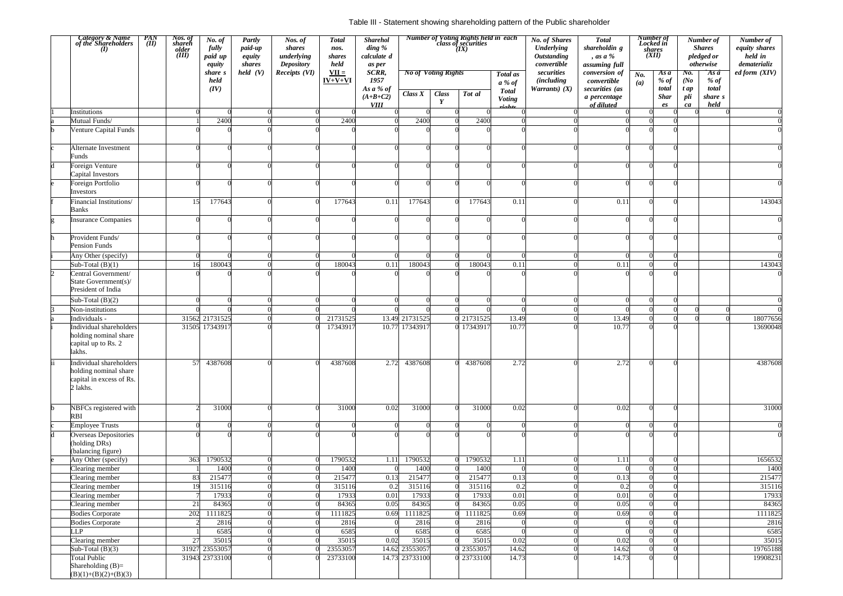#### Table III - Statement showing shareholding pattern of the Public shareholder

|    | Category & Name<br>of the Shareholders<br>(1)<br>$\frac{PAN}{(II)}$                      | Nos. of<br>shareh<br>older<br>(III) | No. of<br>fully<br>paid up<br>equity<br>share s | <b>Partly</b><br>paid-up<br>equity<br>shares<br>held (V) | Nos. of<br>shares<br>underlying<br><b>Depository</b><br>Receipts (VI) | <b>Total</b><br>nos.<br>shares<br>held<br>$VII =$ | <b>Sharehol</b><br>$\dim g \mathcal{C}$<br>calculate d<br>as per<br>SCRR, |                  | <b>No of Voting Rights</b> | <b>Number of Voting Rights held in each</b><br>class of securities<br>(IX) | Total as                 | <b>No. of Shares</b><br><b>Underlying</b><br><b>Outstanding</b><br>convertible<br>securities | <b>Total</b><br>shareholdin g<br>, as a %<br>assuming full<br>conversion of | No.      | Number of<br>Locked in<br><i>shares</i><br>(XII)<br>As a | No.            | Number of<br><b>Shares</b><br>pledged or<br>otherwise<br>As a | Number of<br>equity shares<br>held in<br>dematerializ<br>ed form (XIV) |
|----|------------------------------------------------------------------------------------------|-------------------------------------|-------------------------------------------------|----------------------------------------------------------|-----------------------------------------------------------------------|---------------------------------------------------|---------------------------------------------------------------------------|------------------|----------------------------|----------------------------------------------------------------------------|--------------------------|----------------------------------------------------------------------------------------------|-----------------------------------------------------------------------------|----------|----------------------------------------------------------|----------------|---------------------------------------------------------------|------------------------------------------------------------------------|
|    |                                                                                          |                                     | held<br>(IV)                                    |                                                          |                                                                       | $IV+V+VI$                                         | 1957<br>As a % of                                                         | Class $X$        | <b>Class</b>               | Tot al                                                                     | $a\%$ of<br><b>Total</b> | <i>(including)</i><br>Warrants) $(X)$                                                        | convertible<br>securities (as                                               | (a)      | $%$ of<br>total                                          | (No)<br>$t$ ap | % $of$<br>total                                               |                                                                        |
|    |                                                                                          |                                     |                                                 |                                                          |                                                                       |                                                   | $(A+B+C2)$<br><b>VIII</b>                                                 |                  | Y                          |                                                                            | <b>Voting</b><br>rights  |                                                                                              | a percentage<br>of diluted                                                  |          | <b>Shar</b><br>es                                        | pli<br>ca      | share s<br>held                                               |                                                                        |
|    | Institutions                                                                             |                                     |                                                 |                                                          | $\Omega$                                                              |                                                   |                                                                           |                  |                            |                                                                            |                          |                                                                                              |                                                                             |          |                                                          |                |                                                               |                                                                        |
|    | Mutual Funds/                                                                            |                                     | 2400                                            |                                                          |                                                                       | 2400                                              |                                                                           | 2400             |                            | 2400                                                                       |                          |                                                                                              |                                                                             |          |                                                          |                |                                                               |                                                                        |
|    | Venture Capital Funds                                                                    |                                     |                                                 |                                                          |                                                                       |                                                   |                                                                           |                  |                            |                                                                            |                          |                                                                                              |                                                                             |          |                                                          |                |                                                               |                                                                        |
|    | Alternate Investment<br>Funds                                                            |                                     |                                                 |                                                          |                                                                       |                                                   |                                                                           |                  |                            |                                                                            |                          |                                                                                              |                                                                             |          | $\Omega$                                                 |                |                                                               |                                                                        |
|    | Foreign Venture<br>Capital Investors                                                     |                                     |                                                 |                                                          |                                                                       |                                                   |                                                                           |                  |                            |                                                                            |                          |                                                                                              |                                                                             |          |                                                          |                |                                                               |                                                                        |
|    | Foreign Portfolio<br>Investors                                                           |                                     |                                                 |                                                          |                                                                       |                                                   |                                                                           |                  |                            |                                                                            |                          |                                                                                              |                                                                             |          |                                                          |                |                                                               |                                                                        |
|    | Financial Institutions/<br><b>Banks</b>                                                  | 15                                  | 177643                                          |                                                          |                                                                       | 177643                                            | 0.11                                                                      | 177643           |                            | 177643                                                                     | 0.11                     |                                                                                              | 0.1                                                                         | ∩        |                                                          |                |                                                               | 143043                                                                 |
|    | <b>Insurance Companies</b>                                                               |                                     |                                                 |                                                          |                                                                       |                                                   |                                                                           |                  |                            |                                                                            |                          |                                                                                              |                                                                             |          |                                                          |                |                                                               |                                                                        |
|    | Provident Funds/<br><b>Pension Funds</b>                                                 |                                     |                                                 |                                                          |                                                                       |                                                   |                                                                           |                  |                            |                                                                            |                          |                                                                                              |                                                                             | ∩        |                                                          |                |                                                               |                                                                        |
|    | Any Other (specify)                                                                      |                                     |                                                 | $\Omega$                                                 |                                                                       |                                                   |                                                                           |                  |                            |                                                                            |                          |                                                                                              |                                                                             | $\Omega$ |                                                          |                |                                                               |                                                                        |
|    | Sub-Total $(B)(1)$                                                                       |                                     | 180043                                          |                                                          |                                                                       | 180043                                            | 0.11                                                                      | 180043           |                            | 180043                                                                     | 0.11                     |                                                                                              | 0.1                                                                         |          |                                                          |                |                                                               | 143043                                                                 |
|    | Central Government/<br>State Government(s)/<br>President of India                        |                                     |                                                 |                                                          |                                                                       |                                                   |                                                                           |                  |                            |                                                                            |                          |                                                                                              |                                                                             |          |                                                          |                |                                                               |                                                                        |
|    | Sub-Total $(B)(2)$                                                                       |                                     |                                                 |                                                          |                                                                       |                                                   |                                                                           |                  |                            |                                                                            |                          |                                                                                              |                                                                             |          |                                                          |                |                                                               |                                                                        |
|    | Non-institutions                                                                         |                                     |                                                 |                                                          |                                                                       |                                                   |                                                                           |                  |                            |                                                                            |                          |                                                                                              |                                                                             |          |                                                          |                |                                                               |                                                                        |
|    | Individuals -                                                                            | 31562                               | 21731525                                        |                                                          | $\Omega$                                                              | 21731525                                          |                                                                           | 13.49 21731525   |                            | 21731525                                                                   | 13.49                    |                                                                                              | 13.49                                                                       | $\Omega$ |                                                          |                |                                                               | 18077656                                                               |
|    | Individual shareholders<br>holding nominal share<br>capital up to Rs. 2<br>lakhs.        | 31505                               | 17343917                                        |                                                          |                                                                       | 17343917                                          |                                                                           | 10.77 17343917   |                            | 17343917                                                                   | 10.77                    |                                                                                              | 10.77                                                                       |          |                                                          |                |                                                               | 13690048                                                               |
| ii | Individual shareholders<br>holding nominal share<br>capital in excess of Rs.<br>2 lakhs. | 57                                  | 4387608                                         |                                                          | $\Omega$                                                              | 4387608                                           |                                                                           | 2.72 4387608     |                            | 4387608                                                                    | 2.72                     |                                                                                              | 2.72                                                                        | ∩        |                                                          | $\Omega$       |                                                               | 4387608                                                                |
|    | NBFCs registered with<br><b>RBI</b>                                                      |                                     | 31000                                           |                                                          | $\Omega$                                                              | 31000                                             | 0.02                                                                      | 31000            |                            | 31000                                                                      | 0.02                     |                                                                                              | 0.02                                                                        | $\Omega$ |                                                          | ΩI             |                                                               | 31000                                                                  |
|    | Employee Trusts                                                                          |                                     |                                                 |                                                          | $\Omega$                                                              |                                                   |                                                                           |                  |                            |                                                                            |                          |                                                                                              |                                                                             |          |                                                          |                |                                                               |                                                                        |
| d  | <b>Overseas Depositories</b><br>(holding DRs)<br>(balancing figure)                      |                                     |                                                 |                                                          |                                                                       |                                                   |                                                                           |                  |                            |                                                                            |                          |                                                                                              |                                                                             |          | $\Omega$                                                 |                |                                                               |                                                                        |
|    | Any Other (specify)                                                                      | 363                                 | 1790532                                         | $\Omega$                                                 |                                                                       | 1790532                                           | 1.11                                                                      | 1790532          |                            | 1790532                                                                    | 1.11                     |                                                                                              | 1.11                                                                        | $\Omega$ |                                                          | $\Omega$       |                                                               | 1656532                                                                |
|    | Clearing member                                                                          |                                     | 1400                                            |                                                          | $\Omega$                                                              | 1400                                              |                                                                           | 1400             |                            | 1400                                                                       |                          |                                                                                              |                                                                             |          |                                                          |                |                                                               | 1400                                                                   |
|    | Clearing member                                                                          | 83                                  | 215477                                          |                                                          | $\Omega$                                                              | 215477                                            | 0.13                                                                      | 215477           |                            | 215477                                                                     | 0.13                     |                                                                                              | 0.13                                                                        |          |                                                          |                |                                                               | 215477                                                                 |
|    | Clearing member                                                                          |                                     | 315116                                          |                                                          | $\Omega$                                                              | 315116                                            | 0.2                                                                       | 315116           |                            | 315116                                                                     | 0.2                      |                                                                                              | 0.2                                                                         |          |                                                          |                |                                                               | 315116                                                                 |
|    | Clearing member                                                                          |                                     | 17933                                           | $\Omega$                                                 |                                                                       | 17933                                             | 0.01                                                                      | 17933            |                            | 17933                                                                      | 0.01                     |                                                                                              | $\overline{0.01}$                                                           |          |                                                          | ሰ              |                                                               | 17933<br>84365                                                         |
|    | Clearing member<br><b>Bodies Corporate</b>                                               | 21<br>202                           | 84365<br>1111825                                |                                                          | $\Omega$                                                              | 84365<br>1111825                                  | 0.05<br>0.69                                                              | 84365<br>1111825 |                            | 84365<br>1111825                                                           | 0.05<br>0.69             |                                                                                              | 0.05<br>0.69                                                                | ∩        |                                                          | $\Omega$       |                                                               | 1111825                                                                |
|    | <b>Bodies Corporate</b>                                                                  |                                     | 2816                                            |                                                          | $\Omega$                                                              | 2816                                              |                                                                           | 2816             |                            | 2816                                                                       | $\Omega$                 |                                                                                              |                                                                             |          | $\Omega$                                                 |                |                                                               | 2816                                                                   |
|    | LLP                                                                                      |                                     | 6585                                            |                                                          | $\Omega$                                                              | 6585                                              |                                                                           | 6585             |                            | 6585                                                                       |                          |                                                                                              |                                                                             |          |                                                          |                |                                                               | 6585                                                                   |
|    | Clearing member                                                                          | 27                                  | 35015                                           |                                                          |                                                                       | 35015                                             | 0.02                                                                      | 35015            |                            | 35015                                                                      | 0.02                     |                                                                                              | 0.02                                                                        |          |                                                          |                |                                                               | 35015                                                                  |
|    | Sub-Total $(B)(3)$                                                                       | 31927                               | 23553057                                        |                                                          |                                                                       | 23553057                                          |                                                                           | 14.62 23553057   |                            | 23553057                                                                   | 14.62                    |                                                                                              | 14.62                                                                       |          |                                                          | U              |                                                               | 19765188                                                               |
|    | <b>Total Public</b><br>Shareholding $(B)=$<br>$(B)(1)+(B)(2)+(B)(3)$                     | 31943                               | 23733100                                        |                                                          |                                                                       | 23733100                                          |                                                                           | 14.73 23733100   |                            | 23733100                                                                   | 14.73                    |                                                                                              | 14.73                                                                       |          |                                                          |                |                                                               | 19908231                                                               |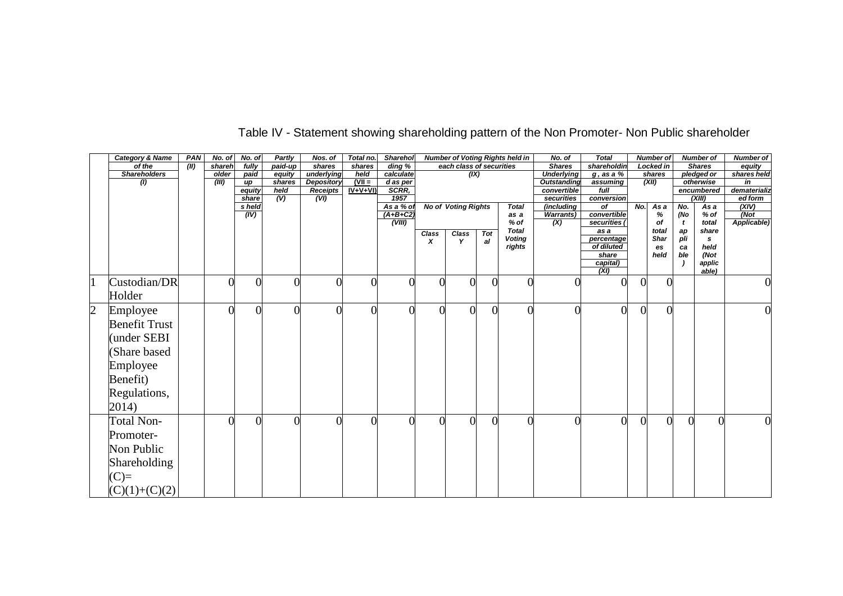|                | <b>Category &amp; Name</b> | <b>PAN</b> | No. of | No. of          | Partly   | Nos. of           | Total no. | <b>Sharehol</b>     |           |                            |          | <b>Number of Voting Rights held in</b> | No. of                    | <b>Total</b>                  |           | <b>Number of</b> |     | <b>Number of</b>     | <b>Number of</b> |
|----------------|----------------------------|------------|--------|-----------------|----------|-------------------|-----------|---------------------|-----------|----------------------------|----------|----------------------------------------|---------------------------|-------------------------------|-----------|------------------|-----|----------------------|------------------|
|                | of the                     | (III)      | shareh | fully           | paid-up  | shares            | shares    | $\overline{ding}$ % |           | each class of securities   |          |                                        | <b>Shares</b>             | shareholdin                   |           | Locked in        |     | <b>Shares</b>        | equity           |
|                | <b>Shareholders</b>        |            | older  | paid            | equity   | underlying        | held      | calculate           |           | (X)                        |          |                                        | <b>Underlying</b>         | $g$ , as a %                  |           | shares           |     | pledged or           | shares held      |
|                | (I)                        |            | (III)  | up              | shares   | <b>Depository</b> | $(VII =$  | d as per            |           |                            |          |                                        | <b>Outstanding</b>        | assuming                      |           | (XII)            |     | otherwise            | in               |
|                |                            |            |        | equity          | held     | <b>Receipts</b>   | $IV+V+VI$ | SCRR,<br>1957       |           |                            |          |                                        | convertible<br>securities | full                          |           |                  |     | encumbered<br>(XIII) | dematerializ     |
|                |                            |            |        | share<br>s held | (V)      | (VI)              |           | As a % of           |           | <b>No of Voting Rights</b> |          | <b>Total</b>                           | (including                | conversion<br>$\overline{of}$ | No.       | Asa              | No. | As a                 | ed form<br>(XIV) |
|                |                            |            |        | (IV)            |          |                   |           | $(A+B+C2)$          |           |                            |          | as a                                   | <b>Warrants)</b>          | convertible                   |           | %                | (No | % of                 | $\sqrt{N}$       |
|                |                            |            |        |                 |          |                   |           | (VIII)              |           |                            |          | $%$ of                                 | $\overline{(\mathsf{X})}$ | securities                    |           | of               | t   | total                | Applicable)      |
|                |                            |            |        |                 |          |                   |           |                     | Class     | <b>Class</b>               | Tot      | <b>Total</b>                           |                           | as a                          |           | total            | ap  | share                |                  |
|                |                            |            |        |                 |          |                   |           |                     | X         | Y                          | al       | <b>Voting</b>                          |                           | percentage                    |           | Shar             | pli | s                    |                  |
|                |                            |            |        |                 |          |                   |           |                     |           |                            |          | rights                                 |                           | of diluted                    |           | es               | ca  | held                 |                  |
|                |                            |            |        |                 |          |                   |           |                     |           |                            |          |                                        |                           | share                         |           | held             | ble | (Not                 |                  |
|                |                            |            |        |                 |          |                   |           |                     |           |                            |          |                                        |                           | capital)<br>(XI)              |           |                  |     | applic<br>able)      |                  |
|                |                            |            |        |                 |          |                   |           |                     |           |                            |          |                                        |                           |                               |           |                  |     |                      |                  |
|                | Custodian/DR               |            |        | $\Omega$        | $\Omega$ |                   |           |                     |           | $\overline{0}$             |          |                                        |                           |                               |           | $\Omega$         |     |                      | $\boldsymbol{0}$ |
|                | Holder                     |            |        |                 |          |                   |           |                     |           |                            |          |                                        |                           |                               |           |                  |     |                      |                  |
| $\overline{c}$ | Employee                   |            |        | $\overline{0}$  | $\Omega$ |                   |           |                     |           | $\theta$                   | $\theta$ |                                        | $\overline{0}$            | $\theta$                      | $\Omega$  | $\overline{0}$   |     |                      | $\boldsymbol{0}$ |
|                | <b>Benefit Trust</b>       |            |        |                 |          |                   |           |                     |           |                            |          |                                        |                           |                               |           |                  |     |                      |                  |
|                |                            |            |        |                 |          |                   |           |                     |           |                            |          |                                        |                           |                               |           |                  |     |                      |                  |
|                | (under SEBI                |            |        |                 |          |                   |           |                     |           |                            |          |                                        |                           |                               |           |                  |     |                      |                  |
|                | (Share based               |            |        |                 |          |                   |           |                     |           |                            |          |                                        |                           |                               |           |                  |     |                      |                  |
|                | Employee                   |            |        |                 |          |                   |           |                     |           |                            |          |                                        |                           |                               |           |                  |     |                      |                  |
|                | Benefit)                   |            |        |                 |          |                   |           |                     |           |                            |          |                                        |                           |                               |           |                  |     |                      |                  |
|                | Regulations,               |            |        |                 |          |                   |           |                     |           |                            |          |                                        |                           |                               |           |                  |     |                      |                  |
|                | 2014)                      |            |        |                 |          |                   |           |                     |           |                            |          |                                        |                           |                               |           |                  |     |                      |                  |
|                | <b>Total Non-</b>          |            |        | $\Omega$        | $\Omega$ |                   |           |                     | $\bigcap$ | $\Omega$                   | $\theta$ |                                        | 0                         | $\theta$                      | $\bigcap$ | 0                |     | 0                    | $\boldsymbol{0}$ |
|                | Promoter-                  |            |        |                 |          |                   |           |                     |           |                            |          |                                        |                           |                               |           |                  |     |                      |                  |
|                | Non Public                 |            |        |                 |          |                   |           |                     |           |                            |          |                                        |                           |                               |           |                  |     |                      |                  |
|                | <b>Shareholding</b>        |            |        |                 |          |                   |           |                     |           |                            |          |                                        |                           |                               |           |                  |     |                      |                  |
|                | $(C)=$                     |            |        |                 |          |                   |           |                     |           |                            |          |                                        |                           |                               |           |                  |     |                      |                  |
|                | $(C)(1)+(C)(2)$            |            |        |                 |          |                   |           |                     |           |                            |          |                                        |                           |                               |           |                  |     |                      |                  |

## Table IV - Statement showing shareholding pattern of the Non Promoter- Non Public shareholder